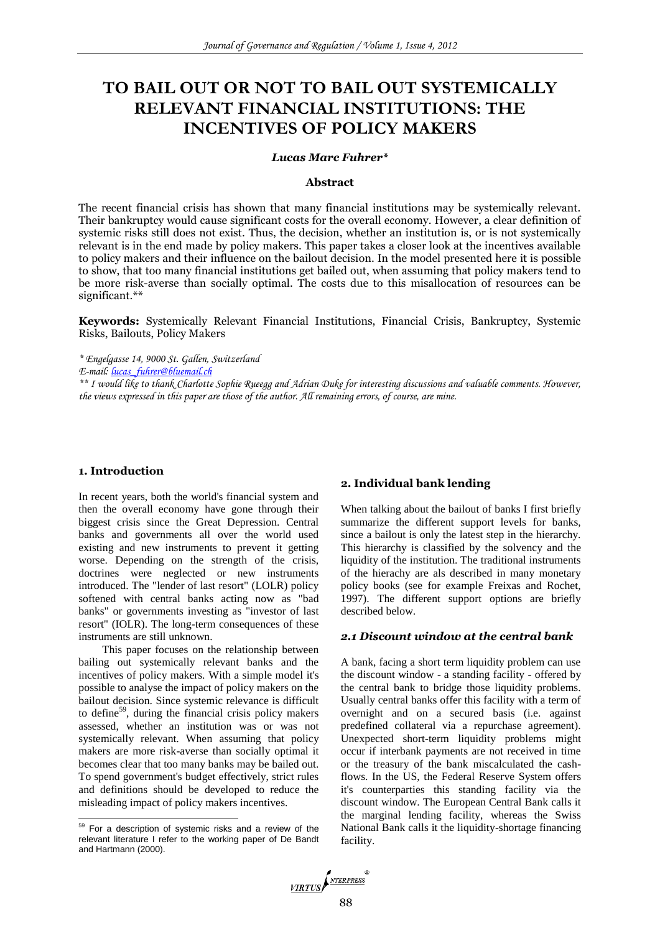# **TO BAIL OUT OR NOT TO BAIL OUT SYSTEMICALLY RELEVANT FINANCIAL INSTITUTIONS: THE INCENTIVES OF POLICY MAKERS**

#### *Lucas Marc Fuhrer\**

#### **Abstract**

The recent financial crisis has shown that many financial institutions may be systemically relevant. Their bankruptcy would cause significant costs for the overall economy. However, a clear definition of systemic risks still does not exist. Thus, the decision, whether an institution is, or is not systemically relevant is in the end made by policy makers. This paper takes a closer look at the incentives available to policy makers and their influence on the bailout decision. In the model presented here it is possible to show, that too many financial institutions get bailed out, when assuming that policy makers tend to be more risk-averse than socially optimal. The costs due to this misallocation of resources can be significant.\*\*

**Keywords:** Systemically Relevant Financial Institutions, Financial Crisis, Bankruptcy, Systemic Risks, Bailouts, Policy Makers

*\* Engelgasse 14, 9000 St. Gallen, Switzerland*

*E-mail: [lucas\\_fuhrer@bluemail.ch](mailto:lucas_fuhrer@bluemail.ch)*

*\*\* I would like to thank Charlotte Sophie Rueegg and Adrian Duke for interesting discussions and valuable comments. However, the views expressed in this paper are those of the author. All remaining errors, of course, are mine.*

# **1. Introduction**

l

In recent years, both the world's financial system and then the overall economy have gone through their biggest crisis since the Great Depression. Central banks and governments all over the world used existing and new instruments to prevent it getting worse. Depending on the strength of the crisis, doctrines were neglected or new instruments introduced. The "lender of last resort" (LOLR) policy softened with central banks acting now as "bad banks" or governments investing as "investor of last resort" (IOLR). The long-term consequences of these instruments are still unknown.

This paper focuses on the relationship between bailing out systemically relevant banks and the incentives of policy makers. With a simple model it's possible to analyse the impact of policy makers on the bailout decision. Since systemic relevance is difficult to define<sup>59</sup>, during the financial crisis policy makers assessed, whether an institution was or was not systemically relevant. When assuming that policy makers are more risk-averse than socially optimal it becomes clear that too many banks may be bailed out. To spend government's budget effectively, strict rules and definitions should be developed to reduce the misleading impact of policy makers incentives.

## **2. Individual bank lending**

When talking about the bailout of banks I first briefly summarize the different support levels for banks, since a bailout is only the latest step in the hierarchy. This hierarchy is classified by the solvency and the liquidity of the institution. The traditional instruments of the hierachy are als described in many monetary policy books (see for example Freixas and Rochet, 1997). The different support options are briefly described below.

# *2.1 Discount window at the central bank*

A bank, facing a short term liquidity problem can use the discount window - a standing facility - offered by the central bank to bridge those liquidity problems. Usually central banks offer this facility with a term of overnight and on a secured basis (i.e. against predefined collateral via a repurchase agreement). Unexpected short-term liquidity problems might occur if interbank payments are not received in time or the treasury of the bank miscalculated the cashflows. In the US, the Federal Reserve System offers it's counterparties this standing facility via the discount window. The European Central Bank calls it the marginal lending facility, whereas the Swiss National Bank calls it the liquidity-shortage financing facility.



<sup>&</sup>lt;sup>59</sup> For a description of systemic risks and a review of the relevant literature I refer to the working paper of De Bandt and Hartmann (2000).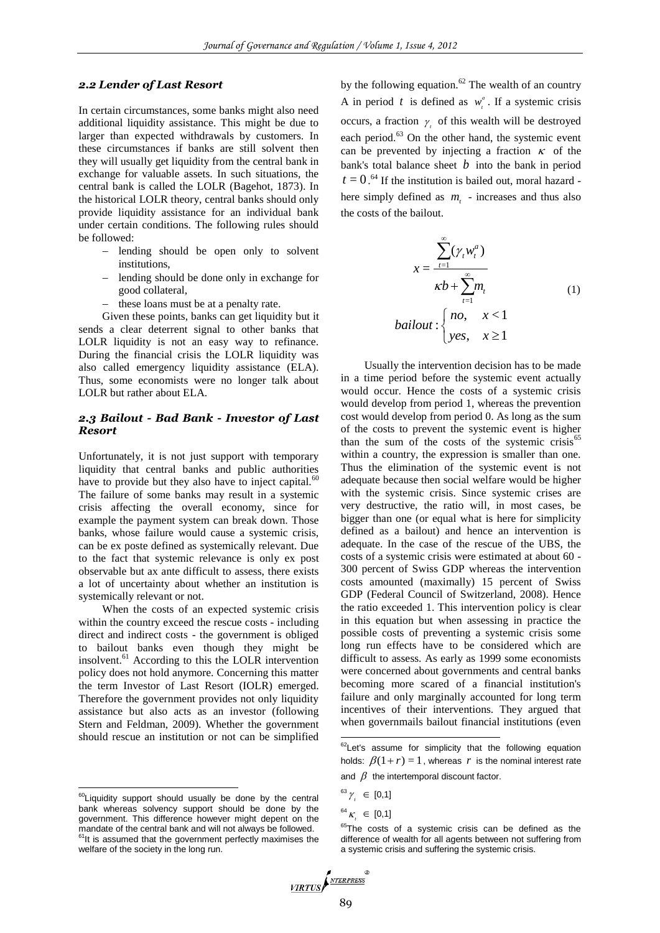# *2.2 Lender of Last Resort*

In certain circumstances, some banks might also need additional liquidity assistance. This might be due to larger than expected withdrawals by customers. In these circumstances if banks are still solvent then they will usually get liquidity from the central bank in exchange for valuable assets. In such situations, the central bank is called the LOLR (Bagehot, 1873). In the historical LOLR theory, central banks should only provide liquidity assistance for an individual bank under certain conditions. The following rules should be followed:

- lending should be open only to solvent institutions,
- lending should be done only in exchange for good collateral,
- these loans must be at a penalty rate.

Given these points, banks can get liquidity but it sends a clear deterrent signal to other banks that LOLR liquidity is not an easy way to refinance. During the financial crisis the LOLR liquidity was also called emergency liquidity assistance (ELA). Thus, some economists were no longer talk about LOLR but rather about ELA.

# *2.3 Bailout - Bad Bank - Investor of Last Resort*

Unfortunately, it is not just support with temporary liquidity that central banks and public authorities have to provide but they also have to inject capital.<sup>60</sup> The failure of some banks may result in a systemic crisis affecting the overall economy, since for example the payment system can break down. Those banks, whose failure would cause a systemic crisis, can be ex poste defined as systemically relevant. Due to the fact that systemic relevance is only ex post observable but ax ante difficult to assess, there exists a lot of uncertainty about whether an institution is systemically relevant or not.

When the costs of an expected systemic crisis within the country exceed the rescue costs - including direct and indirect costs - the government is obliged to bailout banks even though they might be insolvent.<sup>61</sup> According to this the LOLR intervention policy does not hold anymore. Concerning this matter the term Investor of Last Resort (IOLR) emerged. Therefore the government provides not only liquidity assistance but also acts as an investor (following Stern and Feldman, 2009). Whether the government should rescue an institution or not can be simplified

 $\overline{a}$ 

by the following equation.<sup>62</sup> The wealth of an country A in period t is defined as  $w_i^a$ . If a systemic crisis occurs, a fraction  $\gamma$  of this wealth will be destroyed each period.<sup>63</sup> On the other hand, the systemic event can be prevented by injecting a fraction  $\kappa$  of the bank's total balance sheet  $b$  into the bank in period  $t = 0$ .<sup>64</sup> If the institution is bailed out, moral hazard here simply defined as  $m<sub>t</sub>$  - increases and thus also the costs of the bailout.

$$
x = \frac{\sum_{t=1}^{\infty} (\gamma_t w_t^a)}{\kappa b + \sum_{t=1}^{\infty} m_t}
$$
  
bailout: { no,  $x < 1$   
yes,  $x \ge 1$  (1)

Usually the intervention decision has to be made in a time period before the systemic event actually would occur. Hence the costs of a systemic crisis would develop from period 1, whereas the prevention cost would develop from period 0. As long as the sum of the costs to prevent the systemic event is higher than the sum of the costs of the systemic crisis $65$ within a country, the expression is smaller than one. Thus the elimination of the systemic event is not adequate because then social welfare would be higher with the systemic crisis. Since systemic crises are very destructive, the ratio will, in most cases, be bigger than one (or equal what is here for simplicity defined as a bailout) and hence an intervention is adequate. In the case of the rescue of the UBS, the costs of a systemic crisis were estimated at about 60 - 300 percent of Swiss GDP whereas the intervention costs amounted (maximally) 15 percent of Swiss GDP (Federal Council of Switzerland, 2008). Hence the ratio exceeded 1. This intervention policy is clear in this equation but when assessing in practice the possible costs of preventing a systemic crisis some long run effects have to be considered which are difficult to assess. As early as 1999 some economists were concerned about governments and central banks becoming more scared of a financial institution's failure and only marginally accounted for long term incentives of their interventions. They argued that when governmails bailout financial institutions (even

.

<sup>&</sup>lt;sup>65</sup>The costs of a systemic crisis can be defined as the difference of wealth for all agents between not suffering from a systemic crisis and suffering the systemic crisis.



<sup>&</sup>lt;sup>60</sup>Liquidity support should usually be done by the central bank whereas solvency support should be done by the government. This difference however might depent on the mandate of the central bank and will not always be followed.<br><sup>61</sup>It is assumed that the government perfectly maximises the welfare of the society in the long run.

 ${}^{62}$ Let's assume for simplicity that the following equation holds:  $\beta(1+r) = 1$ , whereas r is the nominal interest rate and  $\beta$  the intertemporal discount factor.

 $^{63}$   $\gamma$ <sub>,</sub>  $\in$  [0,1]

<sup>&</sup>lt;sup>64</sup>  $\kappa$ <sub>,</sub>  $\in$  [0,1]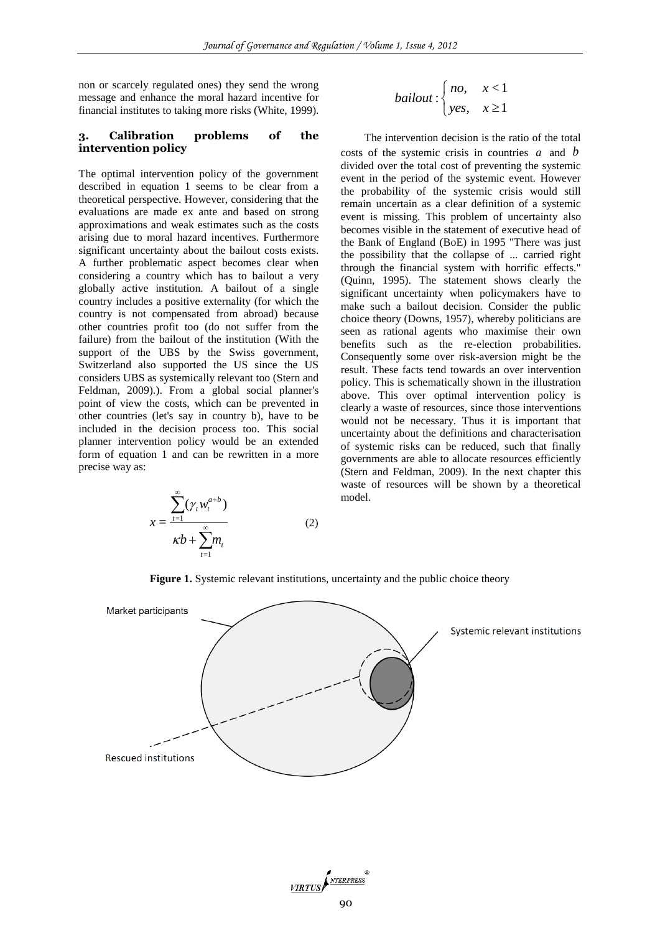non or scarcely regulated ones) they send the wrong message and enhance the moral hazard incentive for financial institutes to taking more risks (White, 1999).

#### **3. Calibration problems of the intervention policy**

The optimal intervention policy of the government described in equation 1 seems to be clear from a theoretical perspective. However, considering that the evaluations are made ex ante and based on strong approximations and weak estimates such as the costs arising due to moral hazard incentives. Furthermore significant uncertainty about the bailout costs exists. A further problematic aspect becomes clear when considering a country which has to bailout a very globally active institution. A bailout of a single country includes a positive externality (for which the country is not compensated from abroad) because other countries profit too (do not suffer from the failure) from the bailout of the institution (With the support of the UBS by the Swiss government, Switzerland also supported the US since the US considers UBS as systemically relevant too (Stern and Feldman, 2009).). From a global social planner's point of view the costs, which can be prevented in other countries (let's say in country b), have to be included in the decision process too. This social planner intervention policy would be an extended form of equation 1 and can be rewritten in a more precise way as:

$$
x = \frac{\sum_{t=1}^{\infty} (\gamma_t w_t^{a+b})}{\kappa b + \sum_{t=1}^{\infty} m_t}
$$
 (2)

$$
bailout: \begin{cases} no, & x < 1 \\ yes, & x \ge 1 \end{cases}
$$

The intervention decision is the ratio of the total costs of the systemic crisis in countries  $a$  and  $b$ divided over the total cost of preventing the systemic event in the period of the systemic event. However the probability of the systemic crisis would still remain uncertain as a clear definition of a systemic event is missing. This problem of uncertainty also becomes visible in the statement of executive head of the Bank of England (BoE) in 1995 "There was just the possibility that the collapse of ... carried right through the financial system with horrific effects." (Quinn, 1995). The statement shows clearly the significant uncertainty when policymakers have to make such a bailout decision. Consider the public choice theory (Downs, 1957), whereby politicians are seen as rational agents who maximise their own benefits such as the re-election probabilities. Consequently some over risk-aversion might be the result. These facts tend towards an over intervention policy. This is schematically shown in the illustration above. This over optimal intervention policy is clearly a waste of resources, since those interventions would not be necessary. Thus it is important that uncertainty about the definitions and characterisation of systemic risks can be reduced, such that finally governments are able to allocate resources efficiently (Stern and Feldman, 2009). In the next chapter this waste of resources will be shown by a theoretical model.

Market participants Systemic relevant institutions **Rescued institutions** 

**Figure 1.** Systemic relevant institutions, uncertainty and the public choice theory

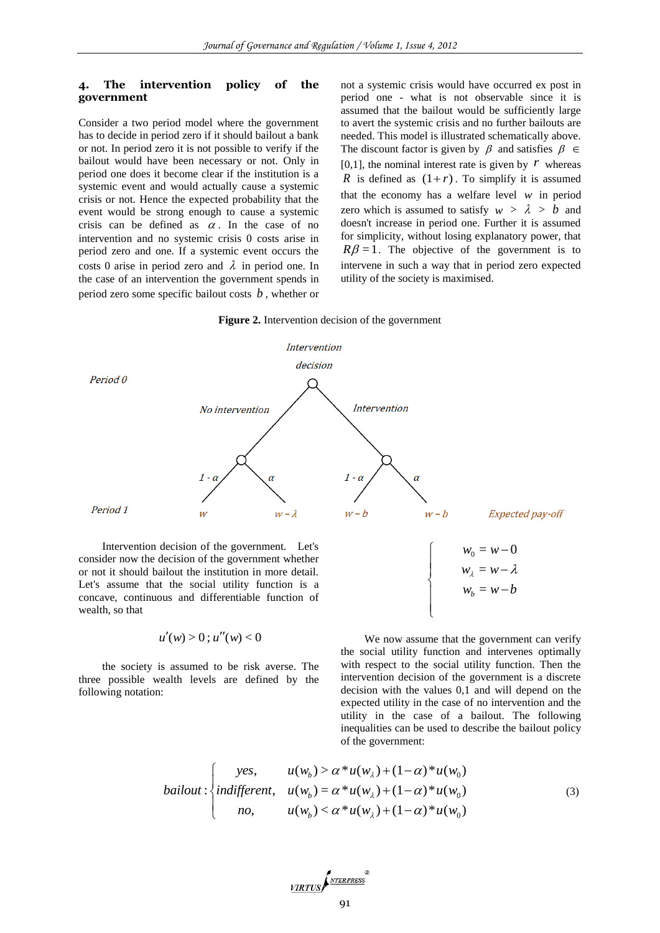#### **4. The intervention policy of the government**

Consider a two period model where the government has to decide in period zero if it should bailout a bank or not. In period zero it is not possible to verify if the bailout would have been necessary or not. Only in period one does it become clear if the institution is a systemic event and would actually cause a systemic crisis or not. Hence the expected probability that the event would be strong enough to cause a systemic crisis can be defined as  $\alpha$ . In the case of no intervention and no systemic crisis 0 costs arise in period zero and one. If a systemic event occurs the costs 0 arise in period zero and  $\lambda$  in period one. In the case of an intervention the government spends in period zero some specific bailout costs *b* , whether or

not a systemic crisis would have occurred ex post in period one - what is not observable since it is assumed that the bailout would be sufficiently large to avert the systemic crisis and no further bailouts are needed. This model is illustrated schematically above. The discount factor is given by  $\beta$  and satisfies  $\beta \in$ [0,1], the nominal interest rate is given by  $\ddot{r}$  whereas *R* is defined as  $(1+r)$ . To simplify it is assumed that the economy has a welfare level  $w$  in period zero which is assumed to satisfy  $w > \lambda > b$  and doesn't increase in period one. Further it is assumed for simplicity, without losing explanatory power, that  $R\beta = 1$ . The objective of the government is to intervene in such a way that in period zero expected utility of the society is maximised.

#### **Figure 2.** Intervention decision of the government



Intervention decision of the government. Let's consider now the decision of the government whether or not it should bailout the institution in more detail. Let's assume that the social utility function is a concave, continuous and differentiable function of wealth, so that

$$
u'(w) > 0 \, ; \, u''(w) < 0
$$

the society is assumed to be risk averse. The three possible wealth levels are defined by the following notation:



We now assume that the government can verify the social utility function and intervenes optimally with respect to the social utility function. Then the intervention decision of the government is a discrete decision with the values 0,1 and will depend on the expected utility in the case of no intervention and the utility in the case of a bailout. The following inequalities can be used to describe the bailout policy

$$
\text{bailout: } \begin{cases} \text{yes,} & u(w_b) > \alpha * u(w_a) + (1 - \alpha) * u(w_0) \\ \text{bailout: } & \begin{cases} \text{yes,} & u(w_b) > \alpha * u(w_a) + (1 - \alpha) * u(w_0) \\ \text{indifferent,} & u(w_b) = \alpha * u(w_a) + (1 - \alpha) * u(w_0) \end{cases} \\ \text{no,} & u(w_b) < \alpha * u(w_a) + (1 - \alpha) * u(w_0) \end{cases} \tag{3}
$$

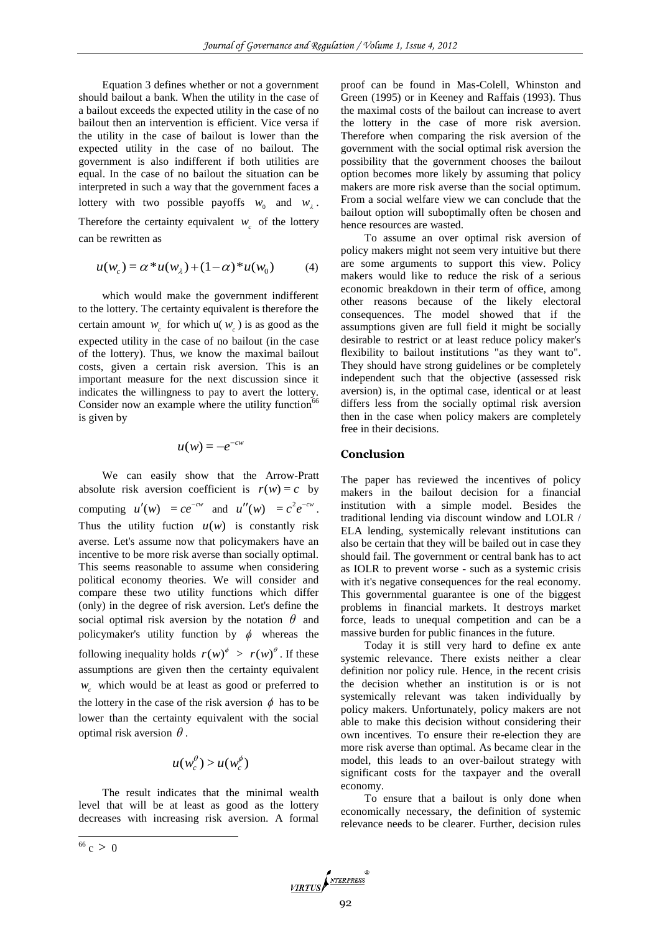Equation 3 defines whether or not a government should bailout a bank. When the utility in the case of a bailout exceeds the expected utility in the case of no bailout then an intervention is efficient. Vice versa if the utility in the case of bailout is lower than the expected utility in the case of no bailout. The government is also indifferent if both utilities are equal. In the case of no bailout the situation can be interpreted in such a way that the government faces a lottery with two possible payoffs  $w_0$  and  $w_2$ . Therefore the certainty equivalent  $w_c$  of the lottery can be rewritten as

$$
u(w_c) = \alpha * u(w_{\lambda}) + (1 - \alpha) * u(w_0)
$$
 (4)

which would make the government indifferent to the lottery. The certainty equivalent is therefore the certain amount  $w_c$  for which  $u(w_c)$  is as good as the expected utility in the case of no bailout (in the case of the lottery). Thus, we know the maximal bailout costs, given a certain risk aversion. This is an important measure for the next discussion since it indicates the willingness to pay to avert the lottery. Consider now an example where the utility function<sup>66</sup> is given by

$$
u(w) = -e^{-cw}
$$

We can easily show that the Arrow-Pratt absolute risk aversion coefficient is  $r(w) = c$  by computing  $u'(w) = ce^{-cw}$  and  $u''(w) = c^2 e^{-cw}$ . Thus the utility fuction  $u(w)$  is constantly risk averse. Let's assume now that policymakers have an incentive to be more risk averse than socially optimal. This seems reasonable to assume when considering political economy theories. We will consider and compare these two utility functions which differ (only) in the degree of risk aversion. Let's define the social optimal risk aversion by the notation  $\theta$  and policymaker's utility function by  $\phi$  whereas the following inequality holds  $r(w)^{\phi} > r(w)^{\theta}$ . If these assumptions are given then the certainty equivalent *w c* which would be at least as good or preferred to the lottery in the case of the risk aversion  $\phi$  has to be lower than the certainty equivalent with the social optimal risk aversion  $\theta$ .

$$
u(w_c^{\theta}) > u(w_c^{\phi})
$$

The result indicates that the minimal wealth level that will be at least as good as the lottery decreases with increasing risk aversion. A formal proof can be found in Mas-Colell, Whinston and Green (1995) or in Keeney and Raffais (1993). Thus the maximal costs of the bailout can increase to avert the lottery in the case of more risk aversion. Therefore when comparing the risk aversion of the government with the social optimal risk aversion the possibility that the government chooses the bailout option becomes more likely by assuming that policy makers are more risk averse than the social optimum. From a social welfare view we can conclude that the bailout option will suboptimally often be chosen and hence resources are wasted.

To assume an over optimal risk aversion of policy makers might not seem very intuitive but there are some arguments to support this view. Policy makers would like to reduce the risk of a serious economic breakdown in their term of office, among other reasons because of the likely electoral consequences. The model showed that if the assumptions given are full field it might be socially desirable to restrict or at least reduce policy maker's flexibility to bailout institutions "as they want to". They should have strong guidelines or be completely independent such that the objective (assessed risk aversion) is, in the optimal case, identical or at least differs less from the socially optimal risk aversion then in the case when policy makers are completely free in their decisions.

## **Conclusion**

The paper has reviewed the incentives of policy makers in the bailout decision for a financial institution with a simple model. Besides the traditional lending via discount window and LOLR / ELA lending, systemically relevant institutions can also be certain that they will be bailed out in case they should fail. The government or central bank has to act as IOLR to prevent worse - such as a systemic crisis with it's negative consequences for the real economy. This governmental guarantee is one of the biggest problems in financial markets. It destroys market force, leads to unequal competition and can be a massive burden for public finances in the future.

Today it is still very hard to define ex ante systemic relevance. There exists neither a clear definition nor policy rule. Hence, in the recent crisis the decision whether an institution is or is not systemically relevant was taken individually by policy makers. Unfortunately, policy makers are not able to make this decision without considering their own incentives. To ensure their re-election they are more risk averse than optimal. As became clear in the model, this leads to an over-bailout strategy with significant costs for the taxpayer and the overall economy.

To ensure that a bailout is only done when economically necessary, the definition of systemic relevance needs to be clearer. Further, decision rules

l

 $66 c > 0$